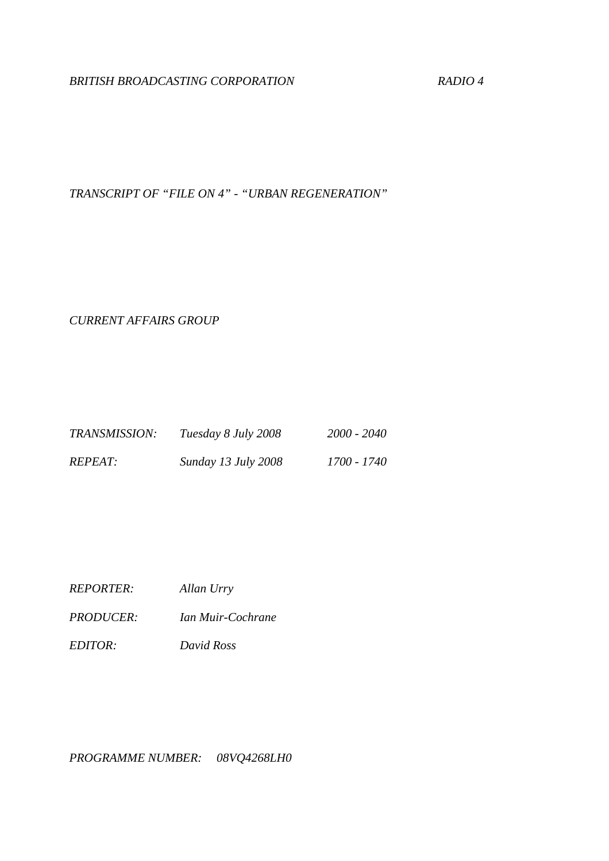# *BRITISH BROADCASTING CORPORATION RADIO 4*

*TRANSCRIPT OF "FILE ON 4" - "URBAN REGENERATION"* 

*CURRENT AFFAIRS GROUP* 

| TRANSMISSION:  | Tuesday 8 July 2008        | 2000 - 2040 |
|----------------|----------------------------|-------------|
| <i>REPEAT:</i> | <b>Sunday 13 July 2008</b> | 1700 - 1740 |

- *REPORTER: Allan Urry*
- *PRODUCER: Ian Muir-Cochrane*
- *EDITOR: David Ross*

*PROGRAMME NUMBER: 08VQ4268LH0*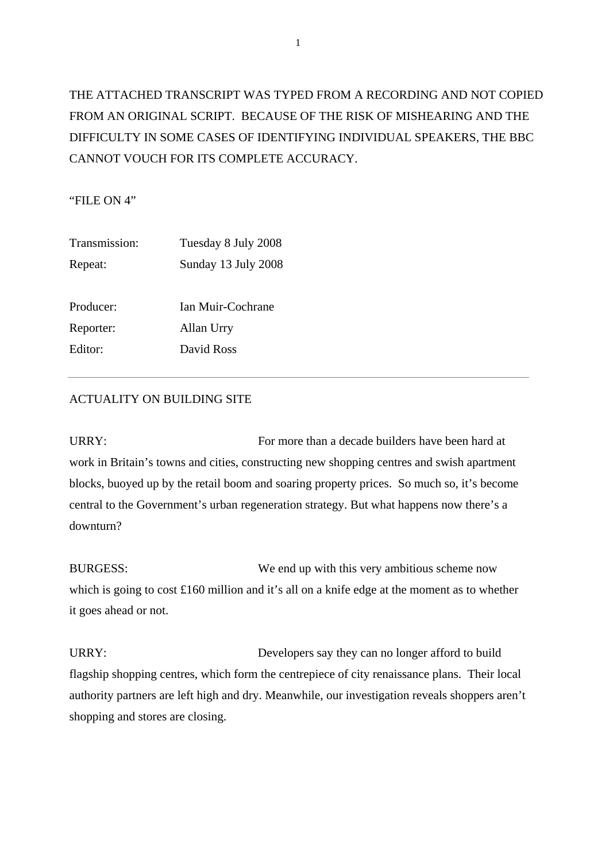# THE ATTACHED TRANSCRIPT WAS TYPED FROM A RECORDING AND NOT COPIED FROM AN ORIGINAL SCRIPT. BECAUSE OF THE RISK OF MISHEARING AND THE DIFFICULTY IN SOME CASES OF IDENTIFYING INDIVIDUAL SPEAKERS, THE BBC CANNOT VOUCH FOR ITS COMPLETE ACCURACY.

"FILE ON 4"

| Transmission: | Tuesday 8 July 2008 |
|---------------|---------------------|
| Repeat:       | Sunday 13 July 2008 |
|               |                     |
| Producer:     | Ian Muir-Cochrane   |
| Reporter:     | Allan Urry          |
| Editor:       | David Ross          |
|               |                     |

# ACTUALITY ON BUILDING SITE

URRY: For more than a decade builders have been hard at URRY: work in Britain's towns and cities, constructing new shopping centres and swish apartment blocks, buoyed up by the retail boom and soaring property prices. So much so, it's become central to the Government's urban regeneration strategy. But what happens now there's a downturn?

BURGESS: We end up with this very ambitious scheme now which is going to cost £160 million and it's all on a knife edge at the moment as to whether it goes ahead or not.

URRY: Developers say they can no longer afford to build flagship shopping centres, which form the centrepiece of city renaissance plans. Their local authority partners are left high and dry. Meanwhile, our investigation reveals shoppers aren't shopping and stores are closing.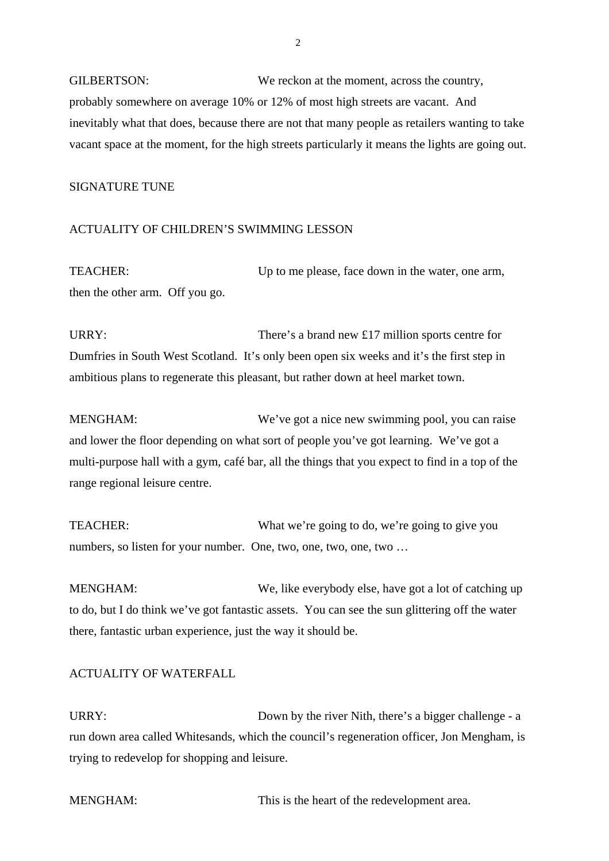GILBERTSON: We reckon at the moment, across the country, probably somewhere on average 10% or 12% of most high streets are vacant. And inevitably what that does, because there are not that many people as retailers wanting to take vacant space at the moment, for the high streets particularly it means the lights are going out.

# SIGNATURE TUNE

# ACTUALITY OF CHILDREN'S SWIMMING LESSON

TEACHER: Up to me please, face down in the water, one arm, then the other arm. Off you go.

URRY: There's a brand new £17 million sports centre for Dumfries in South West Scotland. It's only been open six weeks and it's the first step in ambitious plans to regenerate this pleasant, but rather down at heel market town.

MENGHAM: We've got a nice new swimming pool, you can raise and lower the floor depending on what sort of people you've got learning. We've got a multi-purpose hall with a gym, café bar, all the things that you expect to find in a top of the range regional leisure centre.

TEACHER: What we're going to do, we're going to give you numbers, so listen for your number. One, two, one, two, one, two …

MENGHAM: We, like everybody else, have got a lot of catching up to do, but I do think we've got fantastic assets. You can see the sun glittering off the water there, fantastic urban experience, just the way it should be.

# ACTUALITY OF WATERFALL

URRY: Down by the river Nith, there's a bigger challenge - a run down area called Whitesands, which the council's regeneration officer, Jon Mengham, is trying to redevelop for shopping and leisure.

MENGHAM: This is the heart of the redevelopment area.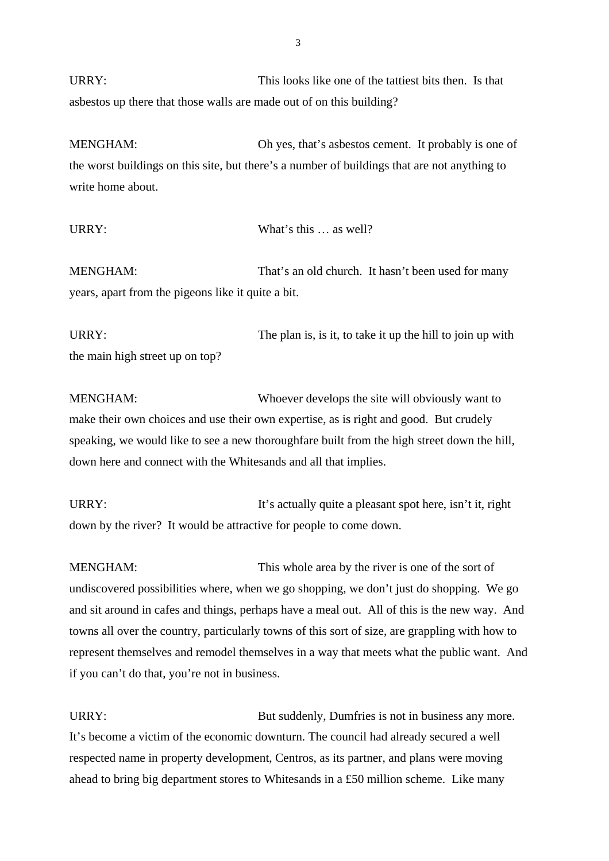URRY: This looks like one of the tattiest bits then. Is that asbestos up there that those walls are made out of on this building?

MENGHAM: Oh yes, that's asbestos cement. It probably is one of the worst buildings on this site, but there's a number of buildings that are not anything to write home about.

URRY: What's this ... as well? MENGHAM: That's an old church. It hasn't been used for many years, apart from the pigeons like it quite a bit.

URRY: The plan is, is it, to take it up the hill to join up with the main high street up on top?

MENGHAM: Whoever develops the site will obviously want to make their own choices and use their own expertise, as is right and good. But crudely speaking, we would like to see a new thoroughfare built from the high street down the hill, down here and connect with the Whitesands and all that implies.

URRY: It's actually quite a pleasant spot here, isn't it, right down by the river? It would be attractive for people to come down.

MENGHAM: This whole area by the river is one of the sort of undiscovered possibilities where, when we go shopping, we don't just do shopping. We go and sit around in cafes and things, perhaps have a meal out. All of this is the new way. And towns all over the country, particularly towns of this sort of size, are grappling with how to represent themselves and remodel themselves in a way that meets what the public want. And if you can't do that, you're not in business.

URRY: But suddenly, Dumfries is not in business any more. It's become a victim of the economic downturn. The council had already secured a well respected name in property development, Centros, as its partner, and plans were moving ahead to bring big department stores to Whitesands in a £50 million scheme. Like many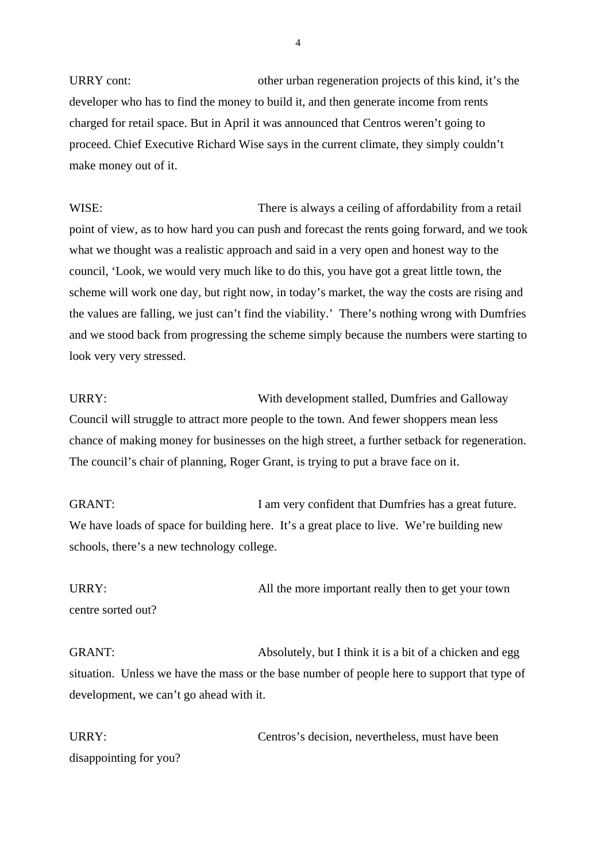URRY cont: other urban regeneration projects of this kind, it's the developer who has to find the money to build it, and then generate income from rents charged for retail space. But in April it was announced that Centros weren't going to proceed. Chief Executive Richard Wise says in the current climate, they simply couldn't make money out of it.

WISE: There is always a ceiling of affordability from a retail point of view, as to how hard you can push and forecast the rents going forward, and we took what we thought was a realistic approach and said in a very open and honest way to the council, 'Look, we would very much like to do this, you have got a great little town, the scheme will work one day, but right now, in today's market, the way the costs are rising and the values are falling, we just can't find the viability.' There's nothing wrong with Dumfries and we stood back from progressing the scheme simply because the numbers were starting to look very very stressed.

URRY: With development stalled, Dumfries and Galloway Council will struggle to attract more people to the town. And fewer shoppers mean less chance of making money for businesses on the high street, a further setback for regeneration. The council's chair of planning, Roger Grant, is trying to put a brave face on it.

GRANT: I am very confident that Dumfries has a great future. We have loads of space for building here. It's a great place to live. We're building new schools, there's a new technology college.

URRY: Manufacturer All the more important really then to get your town centre sorted out?

GRANT: Absolutely, but I think it is a bit of a chicken and egg situation. Unless we have the mass or the base number of people here to support that type of development, we can't go ahead with it.

URRY: Centros's decision, nevertheless, must have been disappointing for you?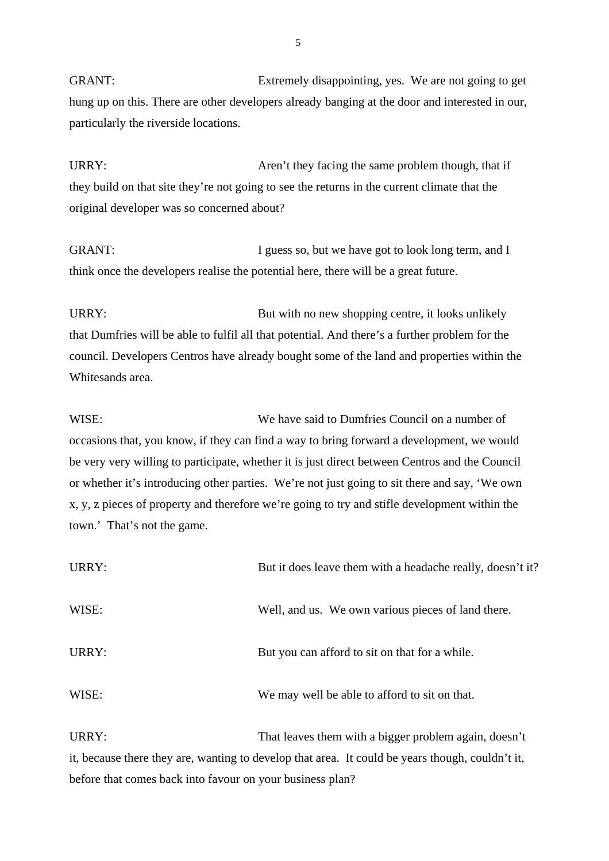GRANT: Extremely disappointing, yes. We are not going to get hung up on this. There are other developers already banging at the door and interested in our, particularly the riverside locations.

URRY: Aren't they facing the same problem though, that if they build on that site they're not going to see the returns in the current climate that the original developer was so concerned about?

GRANT: I guess so, but we have got to look long term, and I think once the developers realise the potential here, there will be a great future.

URRY: But with no new shopping centre, it looks unlikely that Dumfries will be able to fulfil all that potential. And there's a further problem for the council. Developers Centros have already bought some of the land and properties within the Whitesands area.

WISE: We have said to Dumfries Council on a number of occasions that, you know, if they can find a way to bring forward a development, we would be very very willing to participate, whether it is just direct between Centros and the Council or whether it's introducing other parties. We're not just going to sit there and say, 'We own x, y, z pieces of property and therefore we're going to try and stifle development within the town.' That's not the game.

| URRY: | But it does leave them with a headache really, doesn't it? |
|-------|------------------------------------------------------------|
| WISE: | Well, and us. We own various pieces of land there.         |
| URRY: | But you can afford to sit on that for a while.             |
| WISE: | We may well be able to afford to sit on that.              |

URRY: That leaves them with a bigger problem again, doesn't it, because there they are, wanting to develop that area. It could be years though, couldn't it, before that comes back into favour on your business plan?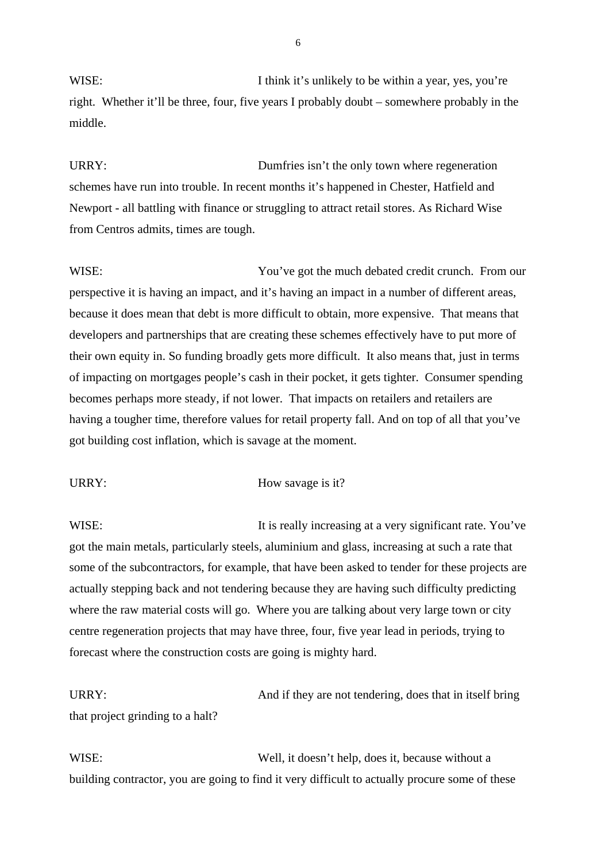WISE: I think it's unlikely to be within a year, yes, you're right. Whether it'll be three, four, five years I probably doubt – somewhere probably in the middle.

URRY: Dumfries isn't the only town where regeneration schemes have run into trouble. In recent months it's happened in Chester, Hatfield and Newport - all battling with finance or struggling to attract retail stores. As Richard Wise from Centros admits, times are tough.

WISE: You've got the much debated credit crunch. From our perspective it is having an impact, and it's having an impact in a number of different areas, because it does mean that debt is more difficult to obtain, more expensive. That means that developers and partnerships that are creating these schemes effectively have to put more of their own equity in. So funding broadly gets more difficult. It also means that, just in terms of impacting on mortgages people's cash in their pocket, it gets tighter. Consumer spending becomes perhaps more steady, if not lower. That impacts on retailers and retailers are having a tougher time, therefore values for retail property fall. And on top of all that you've got building cost inflation, which is savage at the moment.

#### URRY: How savage is it?

WISE: It is really increasing at a very significant rate. You've got the main metals, particularly steels, aluminium and glass, increasing at such a rate that some of the subcontractors, for example, that have been asked to tender for these projects are actually stepping back and not tendering because they are having such difficulty predicting where the raw material costs will go. Where you are talking about very large town or city centre regeneration projects that may have three, four, five year lead in periods, trying to forecast where the construction costs are going is mighty hard.

URRY: And if they are not tendering, does that in itself bring that project grinding to a halt?

WISE: Well, it doesn't help, does it, because without a building contractor, you are going to find it very difficult to actually procure some of these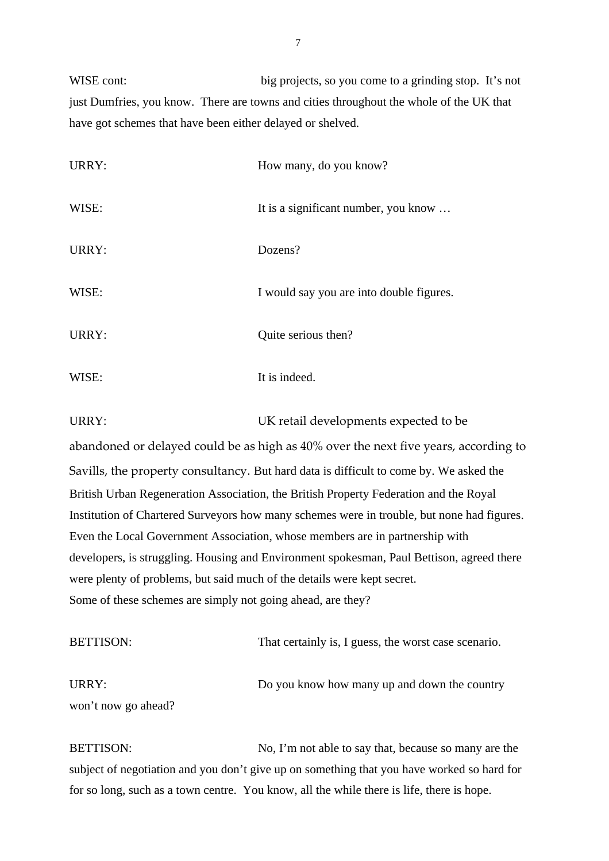WISE cont: big projects, so you come to a grinding stop. It's not just Dumfries, you know. There are towns and cities throughout the whole of the UK that have got schemes that have been either delayed or shelved.

| URRY: | How many, do you know?                   |
|-------|------------------------------------------|
| WISE: | It is a significant number, you know     |
| URRY: | Dozens?                                  |
| WISE: | I would say you are into double figures. |
| URRY: | Quite serious then?                      |
| WISE: | It is indeed.                            |

URRY: UK retail developments expected to be abandoned or delayed could be as high as 40% over the next five years, according to Savills, the property consultancy. But hard data is difficult to come by. We asked the British Urban Regeneration Association, the British Property Federation and the Royal Institution of Chartered Surveyors how many schemes were in trouble, but none had figures. Even the Local Government Association, whose members are in partnership with

developers, is struggling. Housing and Environment spokesman, Paul Bettison, agreed there were plenty of problems, but said much of the details were kept secret. Some of these schemes are simply not going ahead, are they?

| <b>BETTISON:</b>    | That certainly is, I guess, the worst case scenario. |
|---------------------|------------------------------------------------------|
| URRY:               | Do you know how many up and down the country         |
| won't now go ahead? |                                                      |

BETTISON: No, I'm not able to say that, because so many are the subject of negotiation and you don't give up on something that you have worked so hard for for so long, such as a town centre. You know, all the while there is life, there is hope.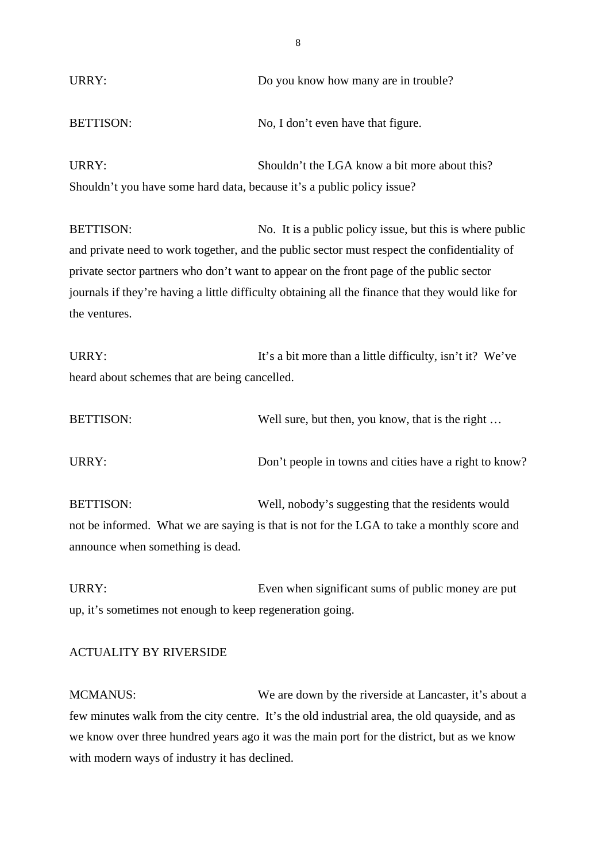| URRY:                                                                                        | Do you know how many are in trouble?                      |
|----------------------------------------------------------------------------------------------|-----------------------------------------------------------|
| <b>BETTISON:</b>                                                                             | No, I don't even have that figure.                        |
| URRY:                                                                                        | Shouldn't the LGA know a bit more about this?             |
| Shouldn't you have some hard data, because it's a public policy issue?                       |                                                           |
| <b>BETTISON:</b>                                                                             | No. It is a public policy issue, but this is where public |
| and private need to work together, and the public sector must respect the confidentiality of |                                                           |

private sector partners who don't want to appear on the front page of the public sector journals if they're having a little difficulty obtaining all the finance that they would like for the ventures.

URRY: It's a bit more than a little difficulty, isn't it? We've heard about schemes that are being cancelled.

| <b>BETTISON:</b> | Well sure, but then, you know, that is the right |
|------------------|--------------------------------------------------|
|                  |                                                  |

URRY: Don't people in towns and cities have a right to know?

BETTISON: Well, nobody's suggesting that the residents would not be informed. What we are saying is that is not for the LGA to take a monthly score and announce when something is dead.

URRY: Even when significant sums of public money are put up, it's sometimes not enough to keep regeneration going.

# ACTUALITY BY RIVERSIDE

MCMANUS: We are down by the riverside at Lancaster, it's about a few minutes walk from the city centre. It's the old industrial area, the old quayside, and as we know over three hundred years ago it was the main port for the district, but as we know with modern ways of industry it has declined.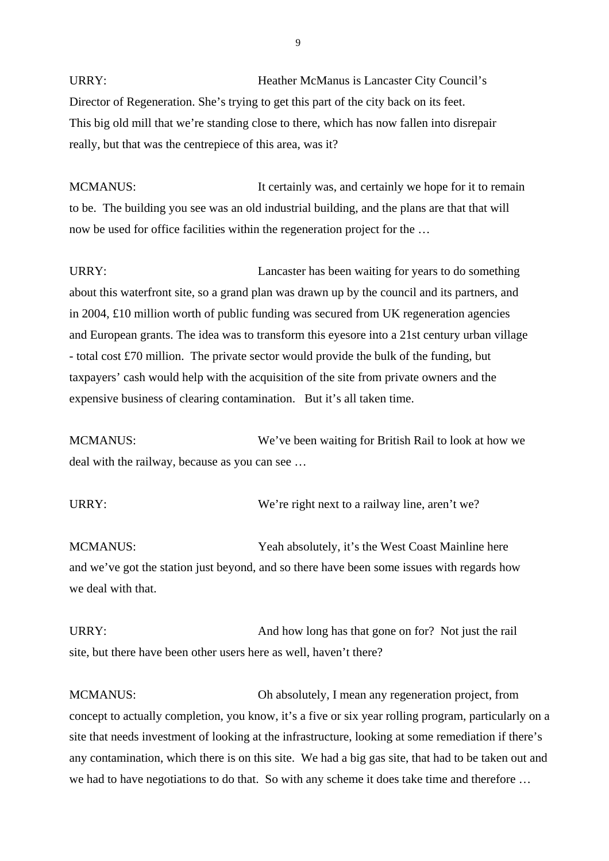URRY: Heather McManus is Lancaster City Council's Director of Regeneration. She's trying to get this part of the city back on its feet. This big old mill that we're standing close to there, which has now fallen into disrepair really, but that was the centrepiece of this area, was it?

MCMANUS: It certainly was, and certainly we hope for it to remain to be. The building you see was an old industrial building, and the plans are that that will now be used for office facilities within the regeneration project for the …

URRY: Lancaster has been waiting for years to do something about this waterfront site, so a grand plan was drawn up by the council and its partners, and in 2004, £10 million worth of public funding was secured from UK regeneration agencies and European grants. The idea was to transform this eyesore into a 21st century urban village - total cost £70 million. The private sector would provide the bulk of the funding, but taxpayers' cash would help with the acquisition of the site from private owners and the expensive business of clearing contamination. But it's all taken time.

MCMANUS: We've been waiting for British Rail to look at how we deal with the railway, because as you can see …

URRY: We're right next to a railway line, aren't we?

MCMANUS: Yeah absolutely, it's the West Coast Mainline here and we've got the station just beyond, and so there have been some issues with regards how we deal with that.

URRY: And how long has that gone on for? Not just the rail site, but there have been other users here as well, haven't there?

MCMANUS: Oh absolutely, I mean any regeneration project, from concept to actually completion, you know, it's a five or six year rolling program, particularly on a site that needs investment of looking at the infrastructure, looking at some remediation if there's any contamination, which there is on this site. We had a big gas site, that had to be taken out and we had to have negotiations to do that. So with any scheme it does take time and therefore …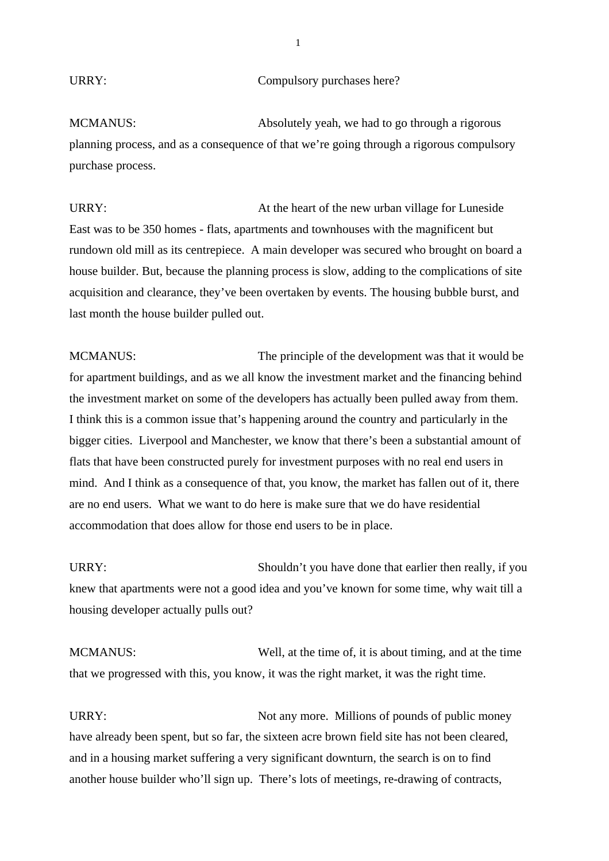# URRY: Compulsory purchases here?

MCMANUS: Absolutely yeah, we had to go through a rigorous planning process, and as a consequence of that we're going through a rigorous compulsory purchase process.

URRY: At the heart of the new urban village for Luneside East was to be 350 homes - flats, apartments and townhouses with the magnificent but rundown old mill as its centrepiece. A main developer was secured who brought on board a house builder. But, because the planning process is slow, adding to the complications of site acquisition and clearance, they've been overtaken by events. The housing bubble burst, and last month the house builder pulled out.

MCMANUS: The principle of the development was that it would be for apartment buildings, and as we all know the investment market and the financing behind the investment market on some of the developers has actually been pulled away from them. I think this is a common issue that's happening around the country and particularly in the bigger cities. Liverpool and Manchester, we know that there's been a substantial amount of flats that have been constructed purely for investment purposes with no real end users in mind. And I think as a consequence of that, you know, the market has fallen out of it, there are no end users. What we want to do here is make sure that we do have residential accommodation that does allow for those end users to be in place.

URRY: Shouldn't you have done that earlier then really, if you knew that apartments were not a good idea and you've known for some time, why wait till a housing developer actually pulls out?

MCMANUS: Well, at the time of, it is about timing, and at the time that we progressed with this, you know, it was the right market, it was the right time.

URRY: Not any more. Millions of pounds of public money have already been spent, but so far, the sixteen acre brown field site has not been cleared, and in a housing market suffering a very significant downturn, the search is on to find another house builder who'll sign up. There's lots of meetings, re-drawing of contracts,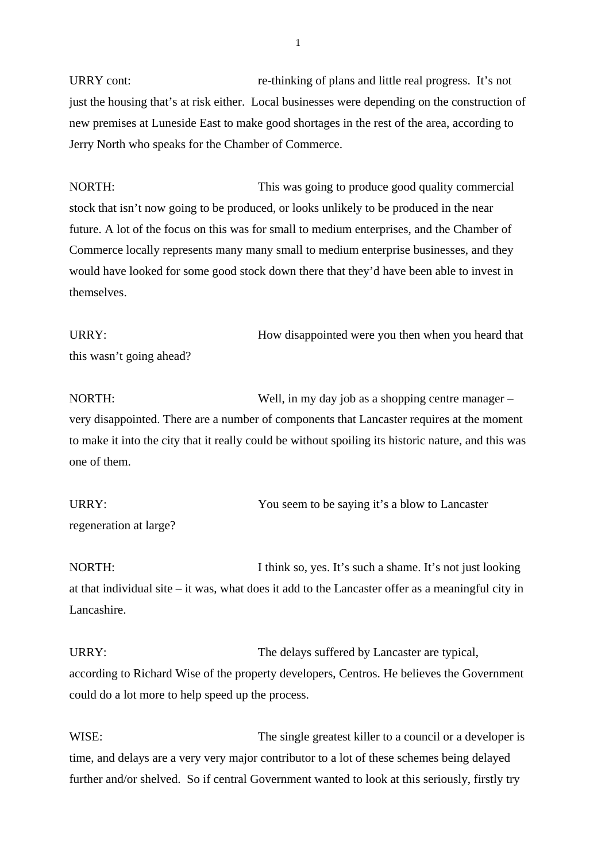URRY cont: re-thinking of plans and little real progress. It's not just the housing that's at risk either. Local businesses were depending on the construction of new premises at Luneside East to make good shortages in the rest of the area, according to Jerry North who speaks for the Chamber of Commerce.

NORTH: This was going to produce good quality commercial stock that isn't now going to be produced, or looks unlikely to be produced in the near future. A lot of the focus on this was for small to medium enterprises, and the Chamber of Commerce locally represents many many small to medium enterprise businesses, and they would have looked for some good stock down there that they'd have been able to invest in themselves.

URRY: How disappointed were you then when you heard that this wasn't going ahead?

NORTH: Well, in my day job as a shopping centre manager – very disappointed. There are a number of components that Lancaster requires at the moment to make it into the city that it really could be without spoiling its historic nature, and this was one of them.

URRY: You seem to be saying it's a blow to Lancaster regeneration at large?

NORTH: I think so, yes. It's such a shame. It's not just looking at that individual site – it was, what does it add to the Lancaster offer as a meaningful city in Lancashire.

URRY: The delays suffered by Lancaster are typical, according to Richard Wise of the property developers, Centros. He believes the Government could do a lot more to help speed up the process.

WISE: The single greatest killer to a council or a developer is time, and delays are a very very major contributor to a lot of these schemes being delayed further and/or shelved. So if central Government wanted to look at this seriously, firstly try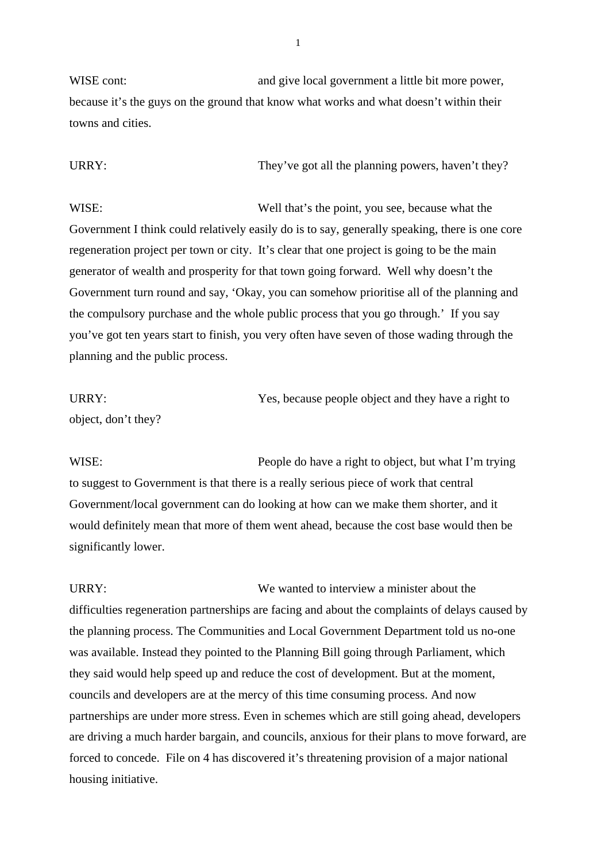WISE cont: and give local government a little bit more power, because it's the guys on the ground that know what works and what doesn't within their towns and cities.

URRY: They've got all the planning powers, haven't they?

WISE: Well that's the point, you see, because what the Government I think could relatively easily do is to say, generally speaking, there is one core regeneration project per town or city. It's clear that one project is going to be the main generator of wealth and prosperity for that town going forward. Well why doesn't the Government turn round and say, 'Okay, you can somehow prioritise all of the planning and the compulsory purchase and the whole public process that you go through.' If you say you've got ten years start to finish, you very often have seven of those wading through the planning and the public process.

URRY: Yes, because people object and they have a right to object, don't they?

WISE: People do have a right to object, but what I'm trying to suggest to Government is that there is a really serious piece of work that central Government/local government can do looking at how can we make them shorter, and it would definitely mean that more of them went ahead, because the cost base would then be significantly lower.

URRY: We wanted to interview a minister about the difficulties regeneration partnerships are facing and about the complaints of delays caused by the planning process. The Communities and Local Government Department told us no-one was available. Instead they pointed to the Planning Bill going through Parliament, which they said would help speed up and reduce the cost of development. But at the moment, councils and developers are at the mercy of this time consuming process. And now partnerships are under more stress. Even in schemes which are still going ahead, developers are driving a much harder bargain, and councils, anxious for their plans to move forward, are forced to concede. File on 4 has discovered it's threatening provision of a major national housing initiative.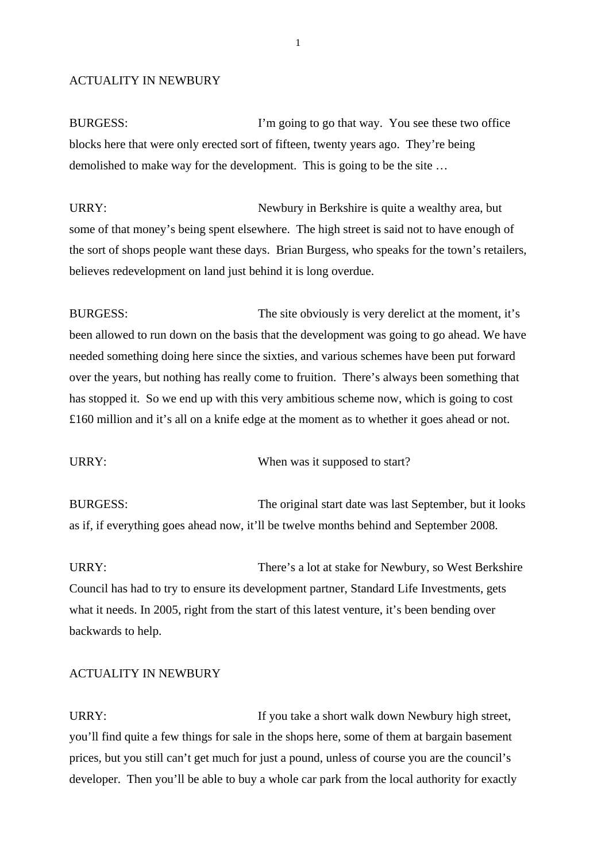#### ACTUALITY IN NEWBURY

BURGESS: I'm going to go that way. You see these two office blocks here that were only erected sort of fifteen, twenty years ago. They're being demolished to make way for the development. This is going to be the site …

URRY: Newbury in Berkshire is quite a wealthy area, but some of that money's being spent elsewhere. The high street is said not to have enough of the sort of shops people want these days. Brian Burgess, who speaks for the town's retailers, believes redevelopment on land just behind it is long overdue.

BURGESS: The site obviously is very derelict at the moment, it's been allowed to run down on the basis that the development was going to go ahead. We have needed something doing here since the sixties, and various schemes have been put forward over the years, but nothing has really come to fruition. There's always been something that has stopped it. So we end up with this very ambitious scheme now, which is going to cost £160 million and it's all on a knife edge at the moment as to whether it goes ahead or not.

URRY: When was it supposed to start?

BURGESS: The original start date was last September, but it looks as if, if everything goes ahead now, it'll be twelve months behind and September 2008.

URRY: There's a lot at stake for Newbury, so West Berkshire Council has had to try to ensure its development partner, Standard Life Investments, gets what it needs. In 2005, right from the start of this latest venture, it's been bending over backwards to help.

# ACTUALITY IN NEWBURY

URRY: If you take a short walk down Newbury high street, you'll find quite a few things for sale in the shops here, some of them at bargain basement prices, but you still can't get much for just a pound, unless of course you are the council's developer. Then you'll be able to buy a whole car park from the local authority for exactly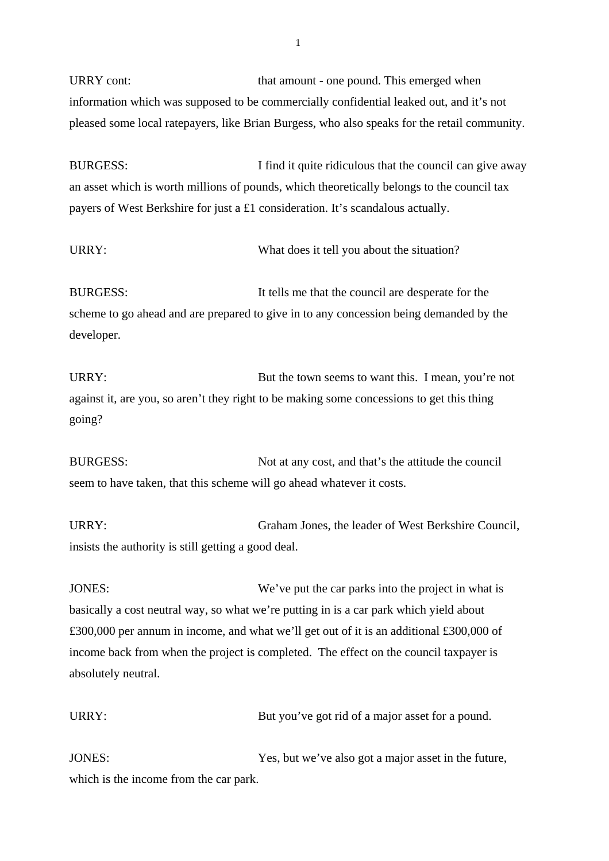URRY cont: that amount - one pound. This emerged when information which was supposed to be commercially confidential leaked out, and it's not pleased some local ratepayers, like Brian Burgess, who also speaks for the retail community.

BURGESS: I find it quite ridiculous that the council can give away an asset which is worth millions of pounds, which theoretically belongs to the council tax payers of West Berkshire for just a £1 consideration. It's scandalous actually.

URRY: What does it tell you about the situation?

BURGESS: It tells me that the council are desperate for the scheme to go ahead and are prepared to give in to any concession being demanded by the developer.

URRY: But the town seems to want this. I mean, you're not against it, are you, so aren't they right to be making some concessions to get this thing going?

BURGESS: Not at any cost, and that's the attitude the council seem to have taken, that this scheme will go ahead whatever it costs.

URRY: Graham Jones, the leader of West Berkshire Council, insists the authority is still getting a good deal.

JONES: We've put the car parks into the project in what is basically a cost neutral way, so what we're putting in is a car park which yield about £300,000 per annum in income, and what we'll get out of it is an additional £300,000 of income back from when the project is completed. The effect on the council taxpayer is absolutely neutral.

URRY: But you've got rid of a major asset for a pound.

JONES: Yes, but we've also got a major asset in the future, which is the income from the car park.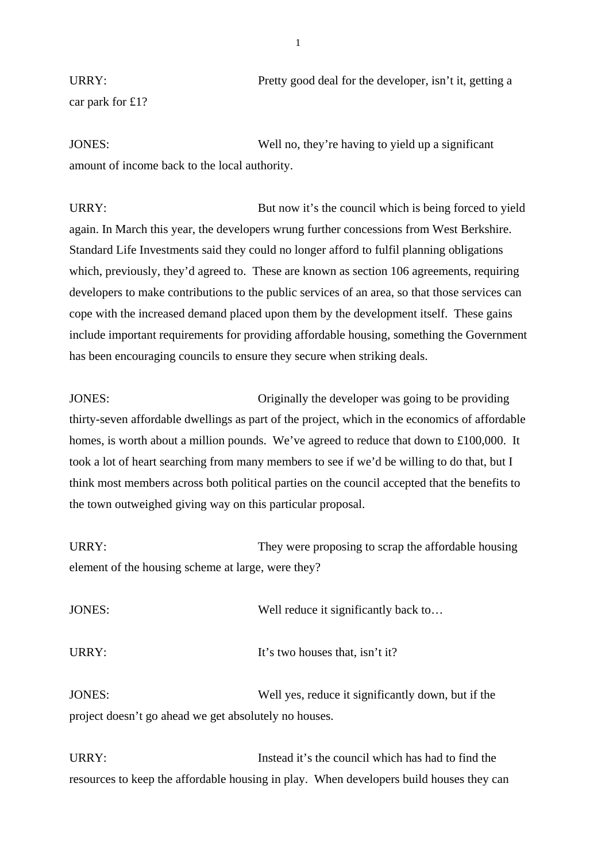URRY: Pretty good deal for the developer, isn't it, getting a car park for £1?

JONES: Well no, they're having to yield up a significant amount of income back to the local authority.

URRY: But now it's the council which is being forced to yield again. In March this year, the developers wrung further concessions from West Berkshire. Standard Life Investments said they could no longer afford to fulfil planning obligations which, previously, they'd agreed to. These are known as section 106 agreements, requiring developers to make contributions to the public services of an area, so that those services can cope with the increased demand placed upon them by the development itself. These gains include important requirements for providing affordable housing, something the Government has been encouraging councils to ensure they secure when striking deals.

JONES: Originally the developer was going to be providing thirty-seven affordable dwellings as part of the project, which in the economics of affordable homes, is worth about a million pounds. We've agreed to reduce that down to £100,000. It took a lot of heart searching from many members to see if we'd be willing to do that, but I think most members across both political parties on the council accepted that the benefits to the town outweighed giving way on this particular proposal.

URRY: They were proposing to scrap the affordable housing element of the housing scheme at large, were they?

JONES: Well reduce it significantly back to… URRY:  $I_t$ 's two houses that, isn't it? JONES: Well yes, reduce it significantly down, but if the

project doesn't go ahead we get absolutely no houses.

URRY: Instead it's the council which has had to find the resources to keep the affordable housing in play. When developers build houses they can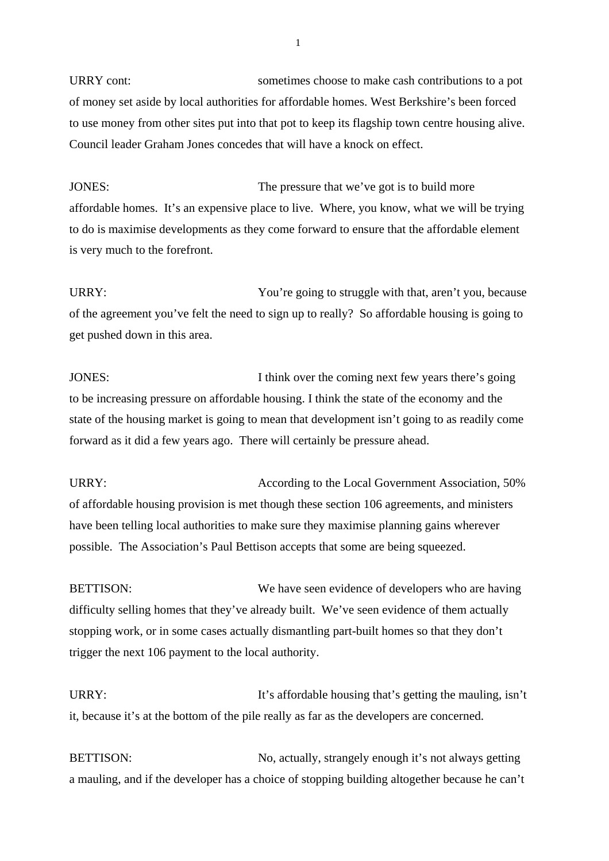URRY cont: sometimes choose to make cash contributions to a pot of money set aside by local authorities for affordable homes. West Berkshire's been forced to use money from other sites put into that pot to keep its flagship town centre housing alive. Council leader Graham Jones concedes that will have a knock on effect.

JONES: The pressure that we've got is to build more affordable homes. It's an expensive place to live. Where, you know, what we will be trying to do is maximise developments as they come forward to ensure that the affordable element is very much to the forefront.

URRY: Vou're going to struggle with that, aren't you, because of the agreement you've felt the need to sign up to really? So affordable housing is going to get pushed down in this area.

JONES: I think over the coming next few years there's going to be increasing pressure on affordable housing. I think the state of the economy and the state of the housing market is going to mean that development isn't going to as readily come forward as it did a few years ago. There will certainly be pressure ahead.

URRY: According to the Local Government Association, 50% of affordable housing provision is met though these section 106 agreements, and ministers have been telling local authorities to make sure they maximise planning gains wherever possible. The Association's Paul Bettison accepts that some are being squeezed.

BETTISON: We have seen evidence of developers who are having difficulty selling homes that they've already built. We've seen evidence of them actually stopping work, or in some cases actually dismantling part-built homes so that they don't trigger the next 106 payment to the local authority.

URRY: It's affordable housing that's getting the mauling, isn't it, because it's at the bottom of the pile really as far as the developers are concerned.

BETTISON: No, actually, strangely enough it's not always getting a mauling, and if the developer has a choice of stopping building altogether because he can't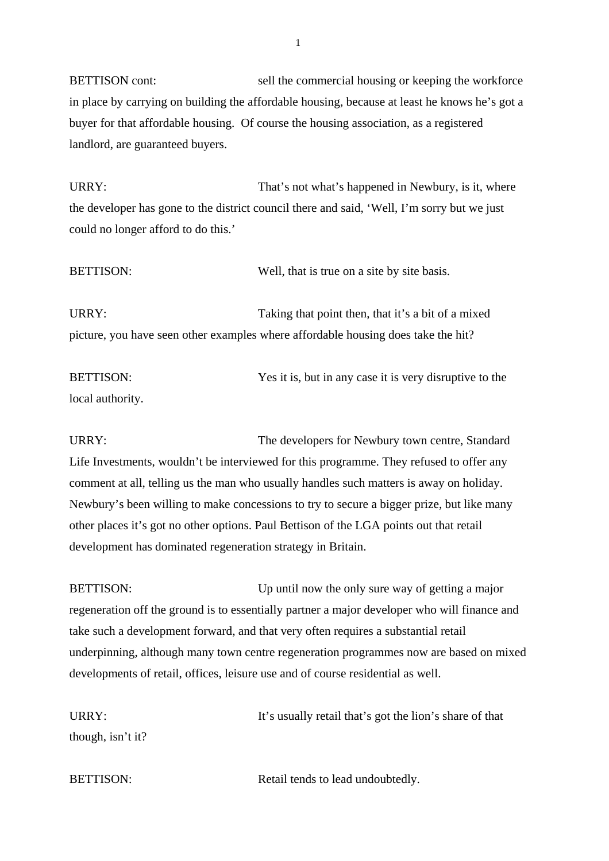BETTISON cont: sell the commercial housing or keeping the workforce in place by carrying on building the affordable housing, because at least he knows he's got a buyer for that affordable housing. Of course the housing association, as a registered landlord, are guaranteed buyers.

URRY: That's not what's happened in Newbury, is it, where the developer has gone to the district council there and said, 'Well, I'm sorry but we just could no longer afford to do this.'

BETTISON: Well, that is true on a site by site basis. URRY: Taking that point then, that it's a bit of a mixed picture, you have seen other examples where affordable housing does take the hit?

BETTISON: Yes it is, but in any case it is very disruptive to the local authority.

URRY: The developers for Newbury town centre, Standard Life Investments, wouldn't be interviewed for this programme. They refused to offer any comment at all, telling us the man who usually handles such matters is away on holiday. Newbury's been willing to make concessions to try to secure a bigger prize, but like many other places it's got no other options. Paul Bettison of the LGA points out that retail development has dominated regeneration strategy in Britain.

BETTISON: Up until now the only sure way of getting a major regeneration off the ground is to essentially partner a major developer who will finance and take such a development forward, and that very often requires a substantial retail underpinning, although many town centre regeneration programmes now are based on mixed developments of retail, offices, leisure use and of course residential as well.

URRY: It's usually retail that's got the lion's share of that though, isn't it?

BETTISON: Retail tends to lead undoubtedly.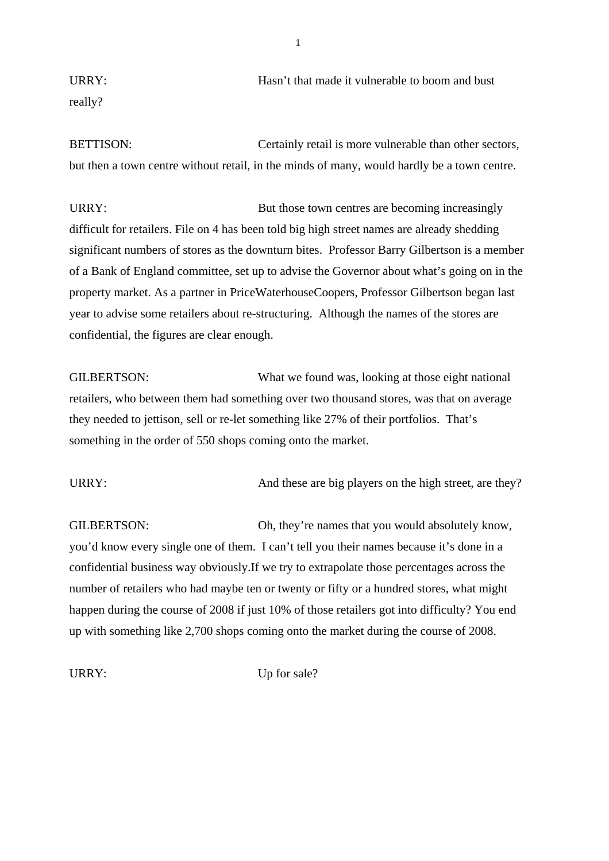URRY: URRY: URRY: really?

BETTISON: Certainly retail is more vulnerable than other sectors, but then a town centre without retail, in the minds of many, would hardly be a town centre.

URRY: But those town centres are becoming increasingly difficult for retailers. File on 4 has been told big high street names are already shedding significant numbers of stores as the downturn bites. Professor Barry Gilbertson is a member of a Bank of England committee, set up to advise the Governor about what's going on in the property market. As a partner in PriceWaterhouseCoopers, Professor Gilbertson began last year to advise some retailers about re-structuring. Although the names of the stores are confidential, the figures are clear enough.

GILBERTSON: What we found was, looking at those eight national retailers, who between them had something over two thousand stores, was that on average they needed to jettison, sell or re-let something like 27% of their portfolios. That's something in the order of 550 shops coming onto the market.

URRY: And these are big players on the high street, are they?

GILBERTSON: Oh, they're names that you would absolutely know, you'd know every single one of them. I can't tell you their names because it's done in a confidential business way obviously.If we try to extrapolate those percentages across the number of retailers who had maybe ten or twenty or fifty or a hundred stores, what might happen during the course of 2008 if just 10% of those retailers got into difficulty? You end up with something like 2,700 shops coming onto the market during the course of 2008.

URRY: Up for sale?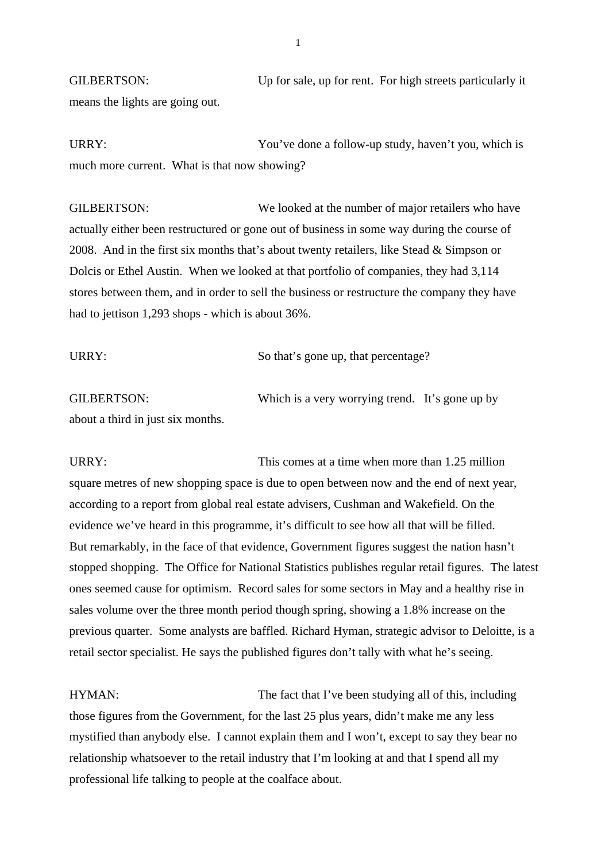GILBERTSON: Up for sale, up for rent. For high streets particularly it means the lights are going out.

URRY: You've done a follow-up study, haven't you, which is much more current. What is that now showing?

GILBERTSON: We looked at the number of major retailers who have actually either been restructured or gone out of business in some way during the course of 2008. And in the first six months that's about twenty retailers, like Stead & Simpson or Dolcis or Ethel Austin. When we looked at that portfolio of companies, they had 3,114 stores between them, and in order to sell the business or restructure the company they have had to jettison 1,293 shops - which is about 36%.

| URRY: | So that's gone up, that percentage? |
|-------|-------------------------------------|
|       |                                     |

GILBERTSON: Which is a very worrying trend. It's gone up by about a third in just six months.

URRY: URRY: This comes at a time when more than 1.25 million square metres of new shopping space is due to open between now and the end of next year, according to a report from global real estate advisers, Cushman and Wakefield. On the evidence we've heard in this programme, it's difficult to see how all that will be filled. But remarkably, in the face of that evidence, Government figures suggest the nation hasn't stopped shopping. The Office for National Statistics publishes regular retail figures. The latest ones seemed cause for optimism. Record sales for some sectors in May and a healthy rise in sales volume over the three month period though spring, showing a 1.8% increase on the previous quarter. Some analysts are baffled. Richard Hyman, strategic advisor to Deloitte, is a retail sector specialist. He says the published figures don't tally with what he's seeing.

HYMAN: The fact that I've been studying all of this, including those figures from the Government, for the last 25 plus years, didn't make me any less mystified than anybody else. I cannot explain them and I won't, except to say they bear no relationship whatsoever to the retail industry that I'm looking at and that I spend all my professional life talking to people at the coalface about.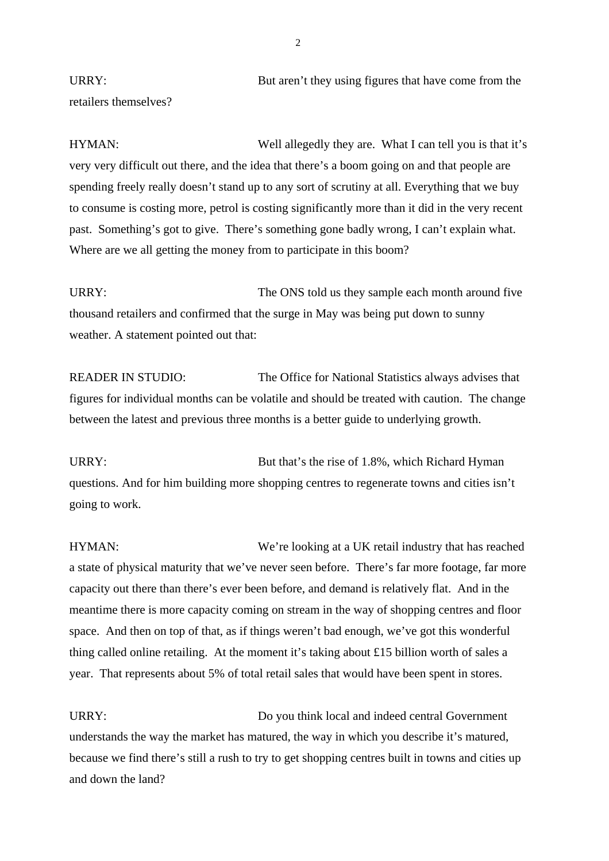URRY: But aren't they using figures that have come from the retailers themselves?

HYMAN: Well allegedly they are. What I can tell you is that it's very very difficult out there, and the idea that there's a boom going on and that people are spending freely really doesn't stand up to any sort of scrutiny at all. Everything that we buy to consume is costing more, petrol is costing significantly more than it did in the very recent past. Something's got to give. There's something gone badly wrong, I can't explain what. Where are we all getting the money from to participate in this boom?

URRY: The ONS told us they sample each month around five thousand retailers and confirmed that the surge in May was being put down to sunny weather. A statement pointed out that:

READER IN STUDIO: The Office for National Statistics always advises that figures for individual months can be volatile and should be treated with caution. The change between the latest and previous three months is a better guide to underlying growth.

URRY: But that's the rise of 1.8%, which Richard Hyman questions. And for him building more shopping centres to regenerate towns and cities isn't going to work.

HYMAN: We're looking at a UK retail industry that has reached a state of physical maturity that we've never seen before. There's far more footage, far more capacity out there than there's ever been before, and demand is relatively flat. And in the meantime there is more capacity coming on stream in the way of shopping centres and floor space. And then on top of that, as if things weren't bad enough, we've got this wonderful thing called online retailing. At the moment it's taking about £15 billion worth of sales a year. That represents about 5% of total retail sales that would have been spent in stores.

URRY: Do you think local and indeed central Government understands the way the market has matured, the way in which you describe it's matured, because we find there's still a rush to try to get shopping centres built in towns and cities up and down the land?

 $\overline{2}$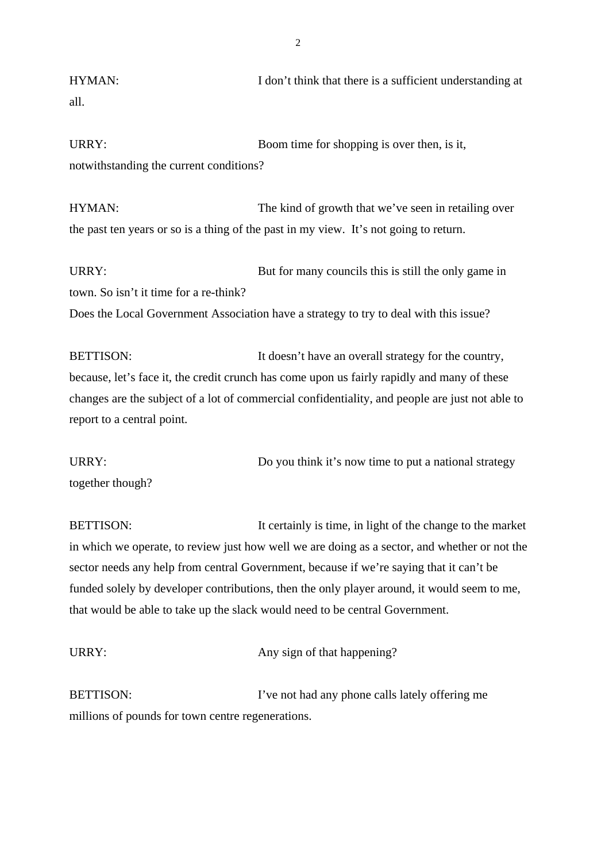HYMAN: I don't think that there is a sufficient understanding at all.

URRY: Boom time for shopping is over then, is it, notwithstanding the current conditions?

HYMAN: The kind of growth that we've seen in retailing over the past ten years or so is a thing of the past in my view. It's not going to return.

URRY: But for many councils this is still the only game in town. So isn't it time for a re-think? Does the Local Government Association have a strategy to try to deal with this issue?

BETTISON: It doesn't have an overall strategy for the country, because, let's face it, the credit crunch has come upon us fairly rapidly and many of these changes are the subject of a lot of commercial confidentiality, and people are just not able to report to a central point.

URRY: Do you think it's now time to put a national strategy together though?

BETTISON: It certainly is time, in light of the change to the market in which we operate, to review just how well we are doing as a sector, and whether or not the sector needs any help from central Government, because if we're saying that it can't be funded solely by developer contributions, then the only player around, it would seem to me, that would be able to take up the slack would need to be central Government.

URRY: Any sign of that happening?

BETTISON: I've not had any phone calls lately offering me millions of pounds for town centre regenerations.